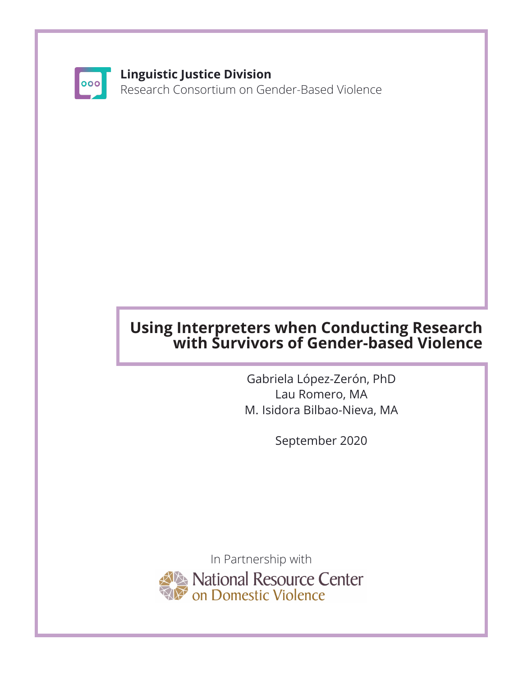

#### **Linguistic Justice Division**

Research Consortium on Gender-Based Violence

### **Using Interpreters when Conducting Research with Survivors of Gender-based Violence**

Gabriela López-Zerón, PhD Lau Romero, MA M. Isidora Bilbao-Nieva, MA

September 2020

In Partnership with National Resource Center<br>On Domestic Violence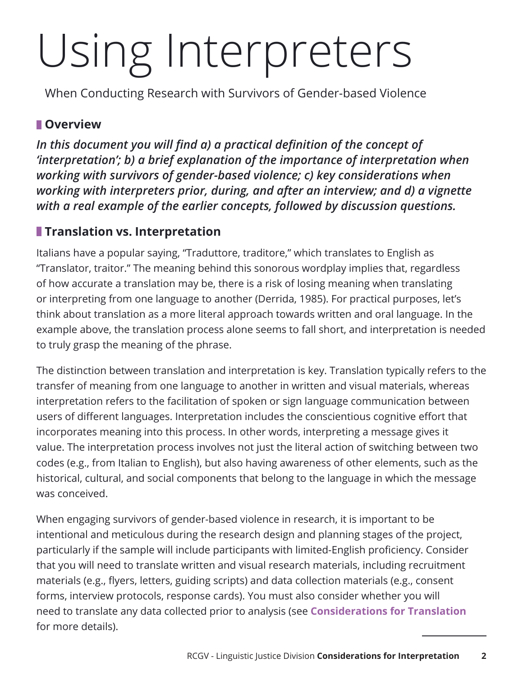## Using Interpreters

When Conducting Research with Survivors of Gender-based Violence

#### **Overview**

In this document you will find a) a practical definition of the concept of *'interpretation'; b) a brief explanation of the importance of interpretation when working with survivors of gender-based violence; c) key considerations when working with interpreters prior, during, and after an interview; and d) a vignette with a real example of the earlier concepts, followed by discussion questions.*

#### **Translation vs. Interpretation**

Italians have a popular saying, "Traduttore, traditore," which translates to English as "Translator, traitor." The meaning behind this sonorous wordplay implies that, regardless of how accurate a translation may be, there is a risk of losing meaning when translating or interpreting from one language to another (Derrida, 1985). For practical purposes, let's think about translation as a more literal approach towards written and oral language. In the example above, the translation process alone seems to fall short, and interpretation is needed to truly grasp the meaning of the phrase.

The distinction between translation and interpretation is key. Translation typically refers to the transfer of meaning from one language to another in written and visual materials, whereas interpretation refers to the facilitation of spoken or sign language communication between users of different languages. Interpretation includes the conscientious cognitive effort that incorporates meaning into this process. In other words, interpreting a message gives it value. The interpretation process involves not just the literal action of switching between two codes (e.g., from Italian to English), but also having awareness of other elements, such as the historical, cultural, and social components that belong to the language in which the message was conceived.

When engaging survivors of gender-based violence in research, it is important to be intentional and meticulous during the research design and planning stages of the project, particularly if the sample will include participants with limited-English proficiency. Consider that you will need to translate written and visual research materials, including recruitment materials (e.g., flyers, letters, guiding scripts) and data collection materials (e.g., consent forms, interview protocols, response cards). You must also consider whether you will need to translate any data collected prior to analysis (see **Considerations for Translation** for more details).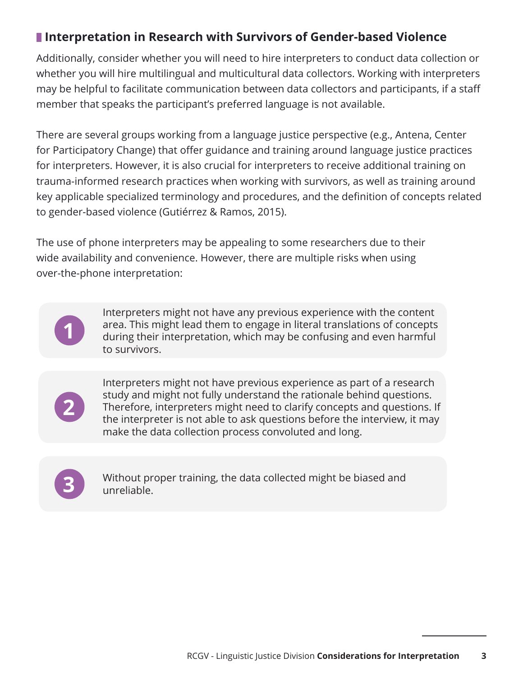#### **Interpretation in Research with Survivors of Gender-based Violence**

Additionally, consider whether you will need to hire interpreters to conduct data collection or whether you will hire multilingual and multicultural data collectors. Working with interpreters may be helpful to facilitate communication between data collectors and participants, if a staff member that speaks the participant's preferred language is not available.

There are several groups working from a language justice perspective (e.g., Antena, Center for Participatory Change) that offer guidance and training around language justice practices for interpreters. However, it is also crucial for interpreters to receive additional training on trauma-informed research practices when working with survivors, as well as training around key applicable specialized terminology and procedures, and the definition of concepts related to gender-based violence (Gutiérrez & Ramos, 2015).

The use of phone interpreters may be appealing to some researchers due to their wide availability and convenience. However, there are multiple risks when using over-the-phone interpretation:



Interpreters might not have any previous experience with the content area. This might lead them to engage in literal translations of concepts during their interpretation, which may be confusing and even harmful to survivors.



Interpreters might not have previous experience as part of a research study and might not fully understand the rationale behind questions. Therefore, interpreters might need to clarify concepts and questions. If the interpreter is not able to ask questions before the interview, it may make the data collection process convoluted and long.



Without proper training, the data collected might be biased and **3** unreliable.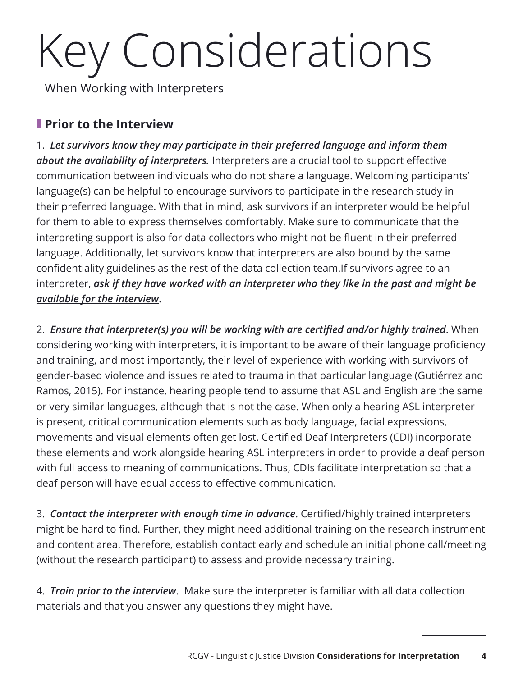# Key Considerations

When Working with Interpreters

#### **Prior to the Interview**

1. *Let survivors know they may participate in their preferred language and inform them about the availability of interpreters.* Interpreters are a crucial tool to support effective communication between individuals who do not share a language. Welcoming participants' language(s) can be helpful to encourage survivors to participate in the research study in their preferred language. With that in mind, ask survivors if an interpreter would be helpful for them to able to express themselves comfortably. Make sure to communicate that the interpreting support is also for data collectors who might not be fluent in their preferred language. Additionally, let survivors know that interpreters are also bound by the same confidentiality guidelines as the rest of the data collection team.If survivors agree to an interpreter, *ask if they have worked with an interpreter who they like in the past and might be available for the interview*.

2. *Ensure that interpreter(s) you will be working with are certified and/or highly trained*. When considering working with interpreters, it is important to be aware of their language proficiency and training, and most importantly, their level of experience with working with survivors of gender-based violence and issues related to trauma in that particular language (Gutiérrez and Ramos, 2015). For instance, hearing people tend to assume that ASL and English are the same or very similar languages, although that is not the case. When only a hearing ASL interpreter is present, critical communication elements such as body language, facial expressions, movements and visual elements often get lost. Certified Deaf Interpreters (CDI) incorporate these elements and work alongside hearing ASL interpreters in order to provide a deaf person with full access to meaning of communications. Thus, CDIs facilitate interpretation so that a deaf person will have equal access to effective communication.

3. *Contact the interpreter with enough time in advance*. Certified/highly trained interpreters might be hard to find. Further, they might need additional training on the research instrument and content area. Therefore, establish contact early and schedule an initial phone call/meeting (without the research participant) to assess and provide necessary training.

4. *Train prior to the interview*. Make sure the interpreter is familiar with all data collection materials and that you answer any questions they might have.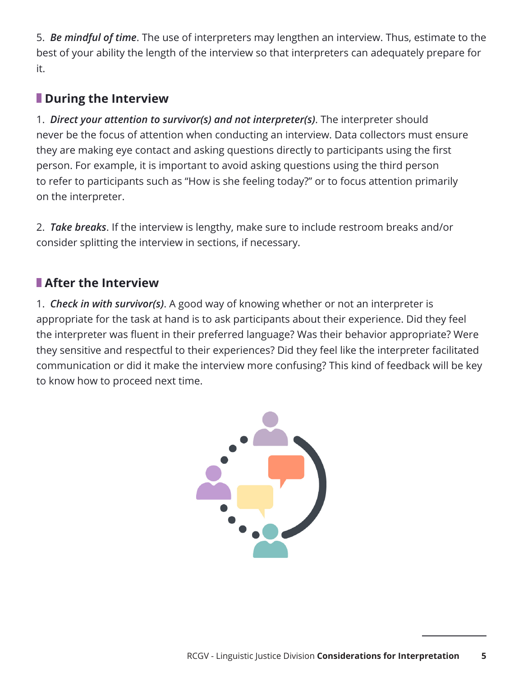5. *Be mindful of time*. The use of interpreters may lengthen an interview. Thus, estimate to the best of your ability the length of the interview so that interpreters can adequately prepare for it.

### **During the Interview**

1. *Direct your attention to survivor(s) and not interpreter(s)*. The interpreter should never be the focus of attention when conducting an interview. Data collectors must ensure they are making eye contact and asking questions directly to participants using the first person. For example, it is important to avoid asking questions using the third person to refer to participants such as "How is she feeling today?" or to focus attention primarily on the interpreter.

2. *Take breaks*. If the interview is lengthy, make sure to include restroom breaks and/or consider splitting the interview in sections, if necessary.

### **After the Interview**

1. *Check in with survivor(s)*. A good way of knowing whether or not an interpreter is appropriate for the task at hand is to ask participants about their experience. Did they feel the interpreter was fluent in their preferred language? Was their behavior appropriate? Were they sensitive and respectful to their experiences? Did they feel like the interpreter facilitated communication or did it make the interview more confusing? This kind of feedback will be key to know how to proceed next time.

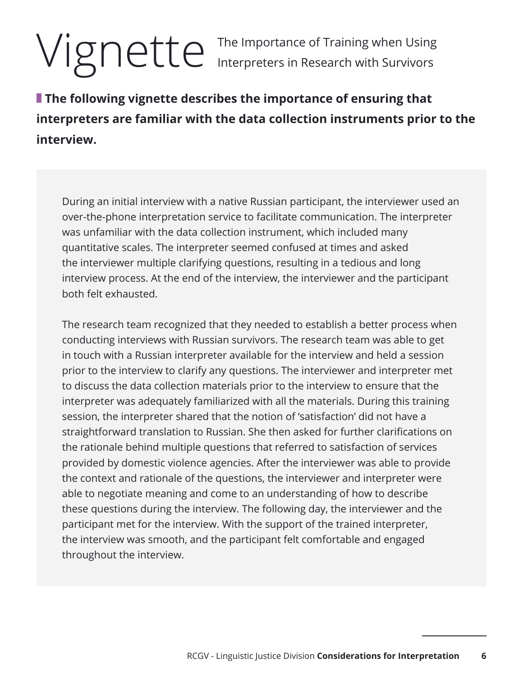## Vignette The Importance of Training when Using<br>Interpreters in Research with Survivors

Interpreters in Research with Survivors

**The following vignette describes the importance of ensuring that interpreters are familiar with the data collection instruments prior to the interview.** 

During an initial interview with a native Russian participant, the interviewer used an over-the-phone interpretation service to facilitate communication. The interpreter was unfamiliar with the data collection instrument, which included many quantitative scales. The interpreter seemed confused at times and asked the interviewer multiple clarifying questions, resulting in a tedious and long interview process. At the end of the interview, the interviewer and the participant both felt exhausted.

The research team recognized that they needed to establish a better process when conducting interviews with Russian survivors. The research team was able to get in touch with a Russian interpreter available for the interview and held a session prior to the interview to clarify any questions. The interviewer and interpreter met to discuss the data collection materials prior to the interview to ensure that the interpreter was adequately familiarized with all the materials. During this training session, the interpreter shared that the notion of 'satisfaction' did not have a straightforward translation to Russian. She then asked for further clarifications on the rationale behind multiple questions that referred to satisfaction of services provided by domestic violence agencies. After the interviewer was able to provide the context and rationale of the questions, the interviewer and interpreter were able to negotiate meaning and come to an understanding of how to describe these questions during the interview. The following day, the interviewer and the participant met for the interview. With the support of the trained interpreter, the interview was smooth, and the participant felt comfortable and engaged throughout the interview.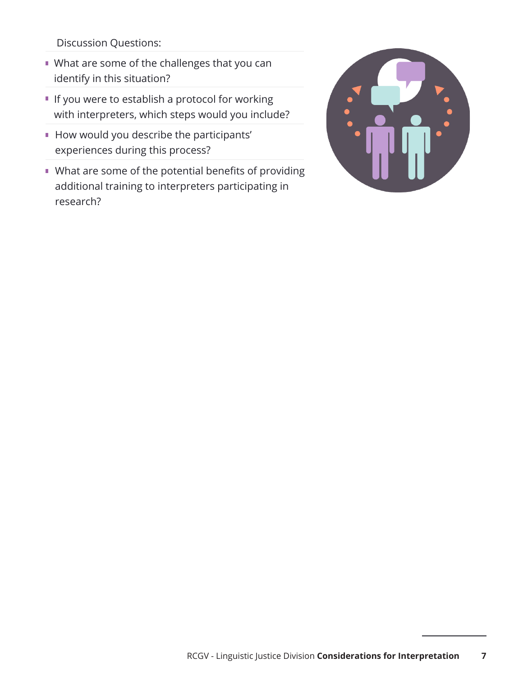Discussion Questions:

- What are some of the challenges that you can identify in this situation?
- **If you were to establish a protocol for working** with interpreters, which steps would you include?
- How would you describe the participants' experiences during this process?
- What are some of the potential benefits of providing additional training to interpreters participating in research?